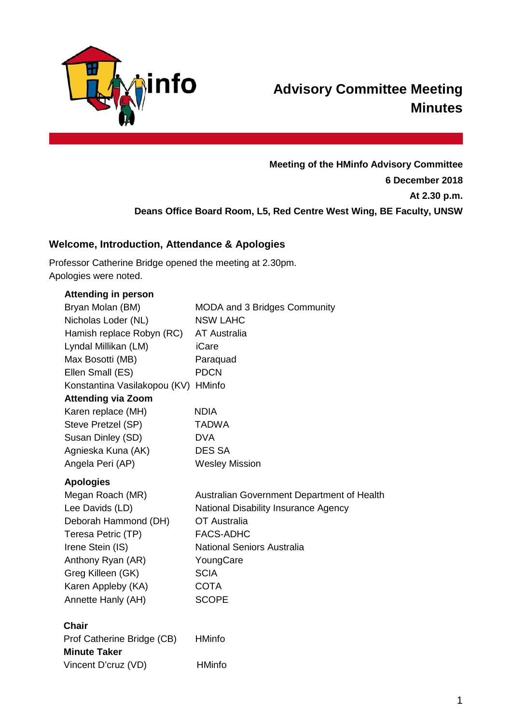

# **Advisory Committee Meeting Minutes**

**Meeting of the HMinfo Advisory Committee 6 December 2018 At 2.30 p.m. Deans Office Board Room, L5, Red Centre West Wing, BE Faculty, UNSW**

# **Welcome, Introduction, Attendance & Apologies**

Professor Catherine Bridge opened the meeting at 2.30pm. Apologies were noted.

| <b>Attending in person</b>          |                                            |
|-------------------------------------|--------------------------------------------|
| Bryan Molan (BM)                    | <b>MODA and 3 Bridges Community</b>        |
| Nicholas Loder (NL)                 | <b>NSW LAHC</b>                            |
| Hamish replace Robyn (RC)           | <b>AT Australia</b>                        |
| Lyndal Millikan (LM)                | iCare                                      |
| Max Bosotti (MB)                    | Paraquad                                   |
| Ellen Small (ES)                    | <b>PDCN</b>                                |
| Konstantina Vasilakopou (KV) HMinfo |                                            |
| <b>Attending via Zoom</b>           |                                            |
| Karen replace (MH)                  | <b>NDIA</b>                                |
| Steve Pretzel (SP)                  | <b>TADWA</b>                               |
| Susan Dinley (SD)                   | <b>DVA</b>                                 |
| Agnieska Kuna (AK)                  | <b>DES SA</b>                              |
| Angela Peri (AP)                    | <b>Wesley Mission</b>                      |
| <b>Apologies</b>                    |                                            |
| Megan Roach (MR)                    | Australian Government Department of Health |
| Lee Davids (LD)                     | National Disability Insurance Agency       |
| Deborah Hammond (DH)                | OT Australia                               |
| Teresa Petric (TP)                  | <b>FACS-ADHC</b>                           |
| Irene Stein (IS)                    | <b>National Seniors Australia</b>          |
| Anthony Ryan (AR)                   | YoungCare                                  |
| Greg Killeen (GK)                   | <b>SCIA</b>                                |
| Karen Appleby (KA)                  | <b>COTA</b>                                |
| Annette Hanly (AH)                  | <b>SCOPE</b>                               |
| <b>Chair</b>                        |                                            |
| Prof Catherine Bridge (CB)          | <b>HMinfo</b>                              |
| <b>Minute Taker</b>                 |                                            |
| Vincent D'cruz (VD)                 | <b>HMinfo</b>                              |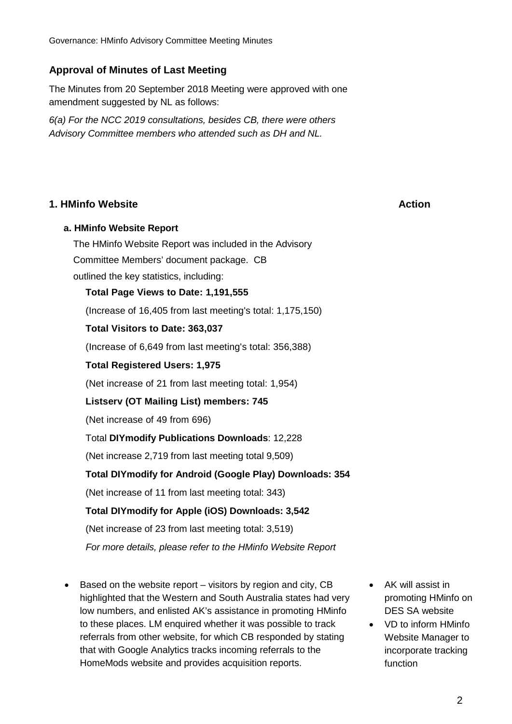# **Approval of Minutes of Last Meeting**

The Minutes from 20 September 2018 Meeting were approved with one amendment suggested by NL as follows:

*6(a) For the NCC 2019 consultations, besides CB, there were others Advisory Committee members who attended such as DH and NL.*

# **1. HMinfo Website Action**

# **a. HMinfo Website Report**

The HMinfo Website Report was included in the Advisory Committee Members' document package. CB outlined the key statistics, including:

**Total Page Views to Date: 1,191,555**

(Increase of 16,405 from last meeting's total: 1,175,150)

# **Total Visitors to Date: 363,037**

(Increase of 6,649 from last meeting's total: 356,388)

# **Total Registered Users: 1,975**

(Net increase of 21 from last meeting total: 1,954)

# **Listserv (OT Mailing List) members: 745**

(Net increase of 49 from 696)

# Total **DIYmodify Publications Downloads**: 12,228

(Net increase 2,719 from last meeting total 9,509)

# **Total DIYmodify for Android (Google Play) Downloads: 354**

(Net increase of 11 from last meeting total: 343)

# **Total DIYmodify for Apple (iOS) Downloads: 3,542**

(Net increase of 23 from last meeting total: 3,519)

*For more details, please refer to the HMinfo Website Report*

- Based on the website report visitors by region and city, CB highlighted that the Western and South Australia states had very low numbers, and enlisted AK's assistance in promoting HMinfo to these places. LM enquired whether it was possible to track referrals from other website, for which CB responded by stating that with Google Analytics tracks incoming referrals to the HomeMods website and provides acquisition reports.
- AK will assist in promoting HMinfo on DES SA website
- VD to inform HMinfo Website Manager to incorporate tracking function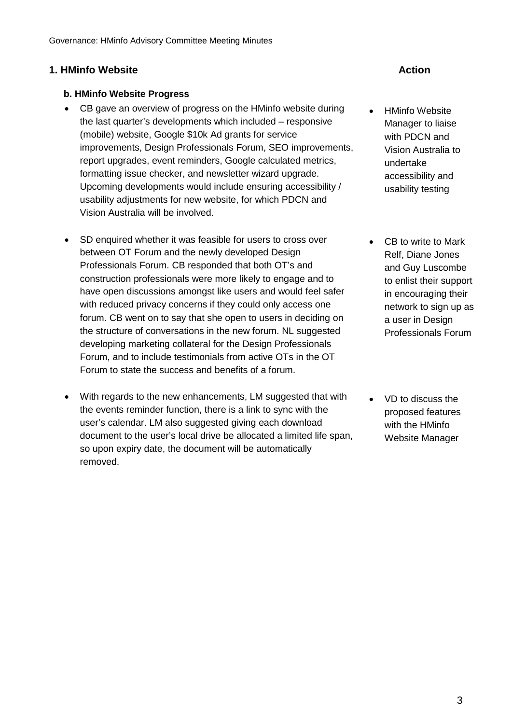# **1. HMinfo Website Action**

# **b. HMinfo Website Progress**

- CB gave an overview of progress on the HMinfo website during the last quarter's developments which included – responsive (mobile) website, Google \$10k Ad grants for service improvements, Design Professionals Forum, SEO improvements, report upgrades, event reminders, Google calculated metrics, formatting issue checker, and newsletter wizard upgrade. Upcoming developments would include ensuring accessibility / usability adjustments for new website, for which PDCN and Vision Australia will be involved.
- SD enquired whether it was feasible for users to cross over between OT Forum and the newly developed Design Professionals Forum. CB responded that both OT's and construction professionals were more likely to engage and to have open discussions amongst like users and would feel safer with reduced privacy concerns if they could only access one forum. CB went on to say that she open to users in deciding on the structure of conversations in the new forum. NL suggested developing marketing collateral for the Design Professionals Forum, and to include testimonials from active OTs in the OT Forum to state the success and benefits of a forum.
- With regards to the new enhancements, LM suggested that with the events reminder function, there is a link to sync with the user's calendar. LM also suggested giving each download document to the user's local drive be allocated a limited life span, so upon expiry date, the document will be automatically removed.

- HMinfo Website Manager to liaise with PDCN and Vision Australia to undertake accessibility and usability testing
- CB to write to Mark Relf, Diane Jones and Guy Luscombe to enlist their support in encouraging their network to sign up as a user in Design Professionals Forum
- VD to discuss the proposed features with the HMinfo Website Manager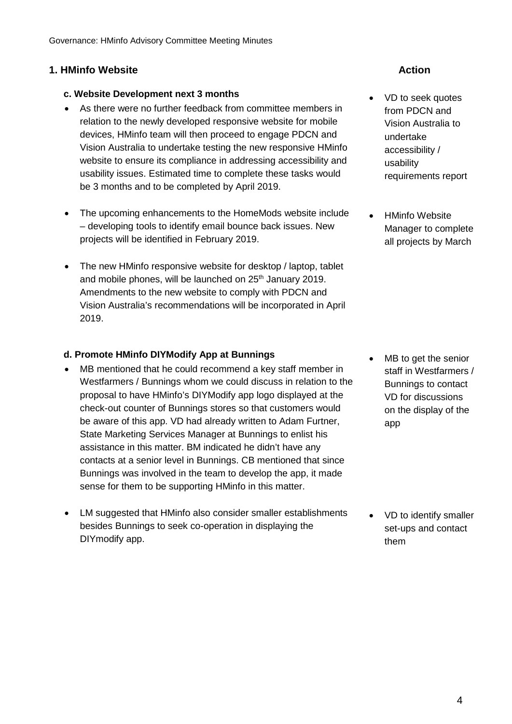# **1. HMinfo Website Action**

# **c. Website Development next 3 months**

- As there were no further feedback from committee members in relation to the newly developed responsive website for mobile devices, HMinfo team will then proceed to engage PDCN and Vision Australia to undertake testing the new responsive HMinfo website to ensure its compliance in addressing accessibility and usability issues. Estimated time to complete these tasks would be 3 months and to be completed by April 2019.
- The upcoming enhancements to the HomeMods website include – developing tools to identify email bounce back issues. New projects will be identified in February 2019.
- The new HMinfo responsive website for desktop / laptop, tablet and mobile phones, will be launched on 25<sup>th</sup> January 2019. Amendments to the new website to comply with PDCN and Vision Australia's recommendations will be incorporated in April 2019.

# **d. Promote HMinfo DIYModify App at Bunnings**

- MB mentioned that he could recommend a key staff member in Westfarmers / Bunnings whom we could discuss in relation to the proposal to have HMinfo's DIYModify app logo displayed at the check-out counter of Bunnings stores so that customers would be aware of this app. VD had already written to Adam Furtner, State Marketing Services Manager at Bunnings to enlist his assistance in this matter. BM indicated he didn't have any contacts at a senior level in Bunnings. CB mentioned that since Bunnings was involved in the team to develop the app, it made sense for them to be supporting HMinfo in this matter.
- LM suggested that HMinfo also consider smaller establishments besides Bunnings to seek co-operation in displaying the DIYmodify app.

- VD to seek quotes from PDCN and Vision Australia to undertake accessibility / usability requirements report
- HMinfo Website Manager to complete all projects by March

MB to get the senior staff in Westfarmers / Bunnings to contact VD for discussions on the display of the app

• VD to identify smaller set-ups and contact them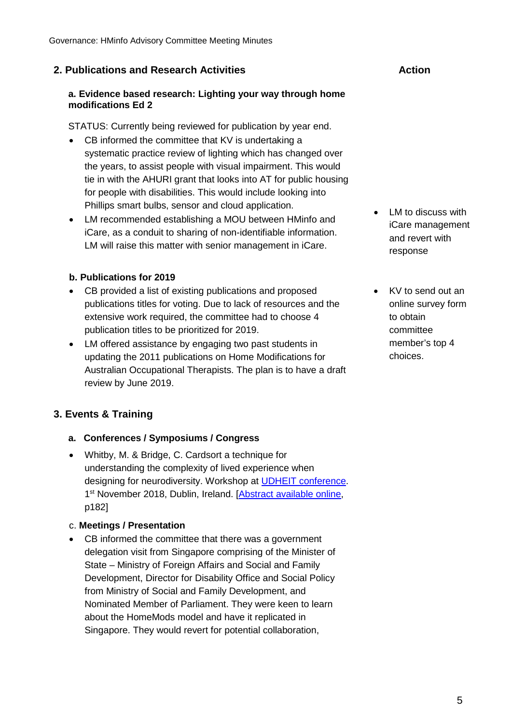# **2. Publications and Research Activities Action**

# **a. Evidence based research: Lighting your way through home modifications Ed 2**

STATUS: Currently being reviewed for publication by year end.

- CB informed the committee that KV is undertaking a systematic practice review of lighting which has changed over the years, to assist people with visual impairment. This would tie in with the AHURI grant that looks into AT for public housing for people with disabilities. This would include looking into Phillips smart bulbs, sensor and cloud application.
- LM recommended establishing a MOU between HMinfo and iCare, as a conduit to sharing of non-identifiable information. LM will raise this matter with senior management in iCare.

# **b. Publications for 2019**

- CB provided a list of existing publications and proposed publications titles for voting. Due to lack of resources and the extensive work required, the committee had to choose 4 publication titles to be prioritized for 2019.
- LM offered assistance by engaging two past students in updating the 2011 publications on Home Modifications for Australian Occupational Therapists. The plan is to have a draft review by June 2019.

# **3. Events & Training**

# **a. Conferences / Symposiums / Congress**

• Whitby, M. & Bridge, C. Cardsort a technique for understanding the complexity of lived experience when designing for neurodiversity. Workshop at **UDHEIT** conference. 1<sup>st</sup> November 2018, Dublin, Ireland. [\[Abstract available online,](https://docs.wixstatic.com/ugd/c416fd_ac75eb0ba8a34508bd90078fb5e74fa4.pdf) p182]

# c. **Meetings / Presentation**

• CB informed the committee that there was a government delegation visit from Singapore comprising of the Minister of State – Ministry of Foreign Affairs and Social and Family Development, Director for Disability Office and Social Policy from Ministry of Social and Family Development, and Nominated Member of Parliament. They were keen to learn about the HomeMods model and have it replicated in Singapore. They would revert for potential collaboration,

- LM to discuss with iCare management and revert with response
- KV to send out an online survey form to obtain committee member's top 4 choices.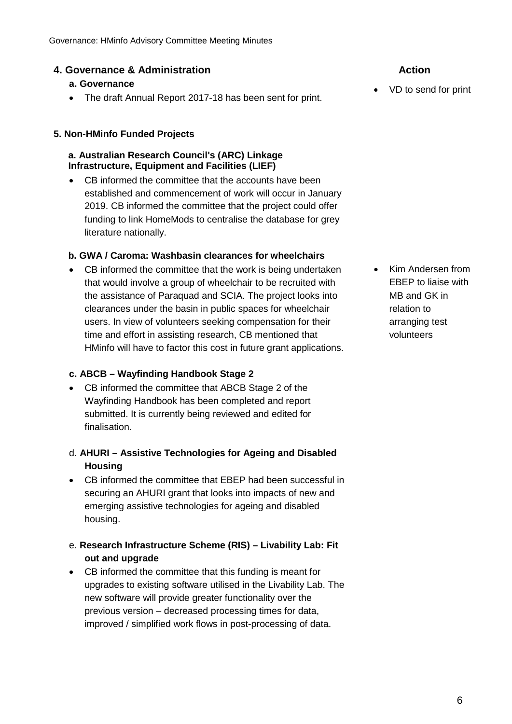# **4. Governance & Administration Action**

# **a. Governance**

• The draft Annual Report 2017-18 has been sent for print. • VD to send for print

# **5. Non-HMinfo Funded Projects**

# **a. Australian Research Council's (ARC) Linkage Infrastructure, Equipment and Facilities (LIEF)**

CB informed the committee that the accounts have been established and commencement of work will occur in January 2019. CB informed the committee that the project could offer funding to link HomeMods to centralise the database for grey literature nationally.

# **b. GWA / Caroma: Washbasin clearances for wheelchairs**

• CB informed the committee that the work is being undertaken that would involve a group of wheelchair to be recruited with the assistance of Paraquad and SCIA. The project looks into clearances under the basin in public spaces for wheelchair users. In view of volunteers seeking compensation for their time and effort in assisting research, CB mentioned that HMinfo will have to factor this cost in future grant applications.

# **c. ABCB – Wayfinding Handbook Stage 2**

- CB informed the committee that ABCB Stage 2 of the Wayfinding Handbook has been completed and report submitted. It is currently being reviewed and edited for finalisation.
- d. **AHURI – Assistive Technologies for Ageing and Disabled Housing**
- CB informed the committee that EBEP had been successful in securing an AHURI grant that looks into impacts of new and emerging assistive technologies for ageing and disabled housing.
- e. **Research Infrastructure Scheme (RIS) – Livability Lab: Fit out and upgrade**
- CB informed the committee that this funding is meant for upgrades to existing software utilised in the Livability Lab. The new software will provide greater functionality over the previous version – decreased processing times for data, improved / simplified work flows in post-processing of data.

• Kim Andersen from EBEP to liaise with MB and GK in relation to arranging test volunteers